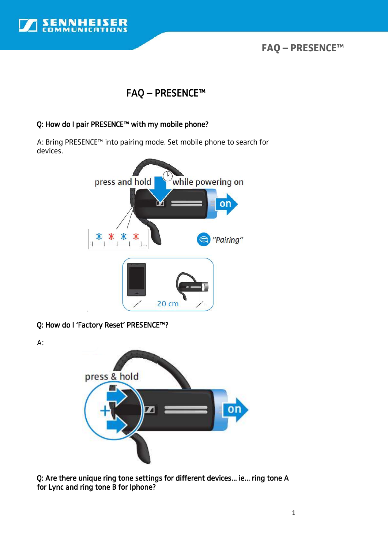

**FAQ – PRESENCE™** 

# FAQ – PRESENCE™

### Q: How do I pair PRESENCE™ with my mobile phone?

A: Bring PRESENCE™ into pairing mode. Set mobile phone to search for devices.



Q: How do I 'Factory Reset' PRESENCE™?

A:



Q: Are there unique ring tone settings for different devices... ie... ring tone A for Lync and ring tone B for Iphone?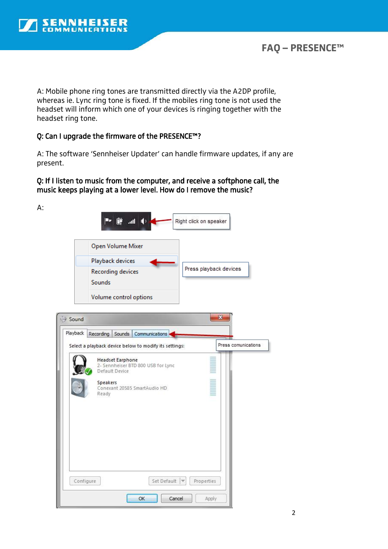

# **FAQ – PRESENCE™**

A: Mobile phone ring tones are transmitted directly via the A2DP profile, whereas ie. Lync ring tone is fixed. If the mobiles ring tone is not used the headset will inform which one of your devices is ringing together with the headset ring tone.

### Q: Can I upgrade the firmware of the PRESENCE™?

A: The software 'Sennheiser Updater' can handle firmware updates, if any are present.

### Q: If I listen to music from the computer, and receive a softphone call, the music keeps playing at a lower level. How do I remove the music?

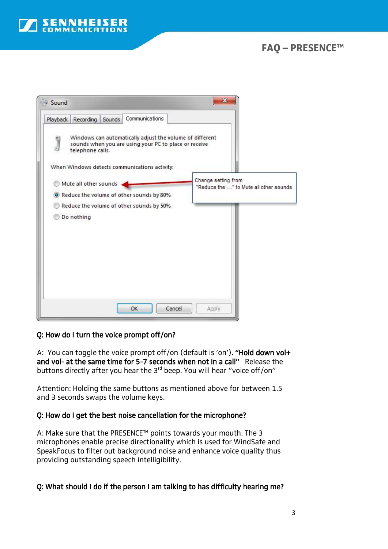

# **FAQ – PRESENCE™**



### Q: How do I turn the voice prompt off/on?

A: You can toggle the voice prompt off/on (default is 'on'). "Hold down vol+ and vol- at the same time for 5-7 seconds when not in a call" Release the buttons directly after you hear the 3rd beep. You will hear "voice off/on"

Attention: Holding the same buttons as mentioned above for between 1.5 and 3 seconds swaps the volume keys.

### Q: How do I get the best noise cancellation for the microphone?

A: Make sure that the PRESENCE™ points towards your mouth. The 3 microphones enable precise directionality which is used for WindSafe and SpeakFocus to filter out background noise and enhance voice quality thus providing outstanding speech intelligibility.

### Q: What should I do if the person I am talking to has difficulty hearing me?